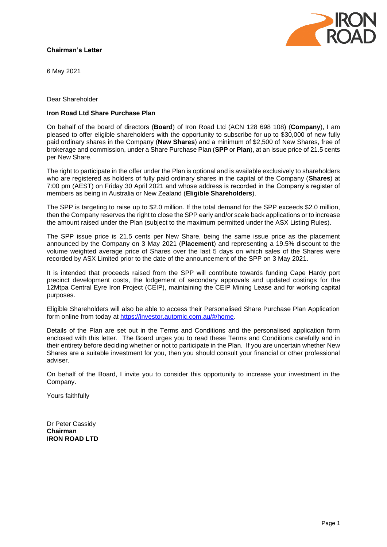# **Chairman's Letter**



6 May 2021

Dear Shareholder

## **Iron Road Ltd Share Purchase Plan**

On behalf of the board of directors (**Board**) of Iron Road Ltd (ACN 128 698 108) (**Company**), I am pleased to offer eligible shareholders with the opportunity to subscribe for up to \$30,000 of new fully paid ordinary shares in the Company (**New Shares**) and a minimum of \$2,500 of New Shares, free of brokerage and commission, under a Share Purchase Plan (**SPP** or **Plan**), at an issue price of 21.5 cents per New Share.

The right to participate in the offer under the Plan is optional and is available exclusively to shareholders who are registered as holders of fully paid ordinary shares in the capital of the Company (**Shares**) at 7:00 pm (AEST) on Friday 30 April 2021 and whose address is recorded in the Company's register of members as being in Australia or New Zealand (**Eligible Shareholders**).

The SPP is targeting to raise up to \$2.0 million. If the total demand for the SPP exceeds \$2.0 million, then the Company reserves the right to close the SPP early and/or scale back applications or to increase the amount raised under the Plan (subject to the maximum permitted under the ASX Listing Rules).

The SPP issue price is 21.5 cents per New Share, being the same issue price as the placement announced by the Company on 3 May 2021 (**Placement**) and representing a 19.5% discount to the volume weighted average price of Shares over the last 5 days on which sales of the Shares were recorded by ASX Limited prior to the date of the announcement of the SPP on 3 May 2021.

It is intended that proceeds raised from the SPP will contribute towards funding Cape Hardy port precinct development costs, the lodgement of secondary approvals and updated costings for the 12Mtpa Central Eyre Iron Project (CEIP), maintaining the CEIP Mining Lease and for working capital purposes.

Eligible Shareholders will also be able to access their Personalised Share Purchase Plan Application form online from today at [https://investor.automic.com.au/#/home.](https://investor.automic.com.au/#/home)

Details of the Plan are set out in the Terms and Conditions and the personalised application form enclosed with this letter. The Board urges you to read these Terms and Conditions carefully and in their entirety before deciding whether or not to participate in the Plan. If you are uncertain whether New Shares are a suitable investment for you, then you should consult your financial or other professional adviser.

On behalf of the Board, I invite you to consider this opportunity to increase your investment in the Company.

Yours faithfully

Dr Peter Cassidy **Chairman IRON ROAD LTD**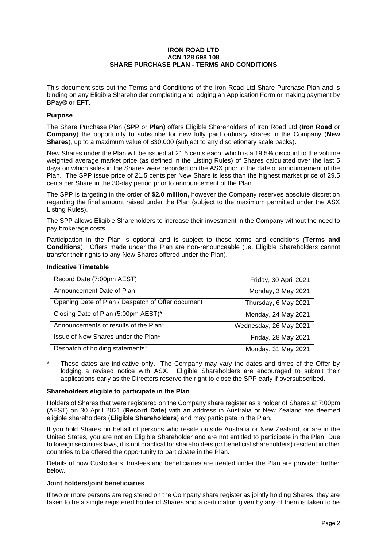#### **IRON ROAD LTD ACN 128 698 108 SHARE PURCHASE PLAN - TERMS AND CONDITIONS**

This document sets out the Terms and Conditions of the Iron Road Ltd Share Purchase Plan and is binding on any Eligible Shareholder completing and lodging an Application Form or making payment by BPay® or EFT.

## **Purpose**

The Share Purchase Plan (**SPP** or **Plan**) offers Eligible Shareholders of Iron Road Ltd (**Iron Road** or **Company**) the opportunity to subscribe for new fully paid ordinary shares in the Company (**New Shares**), up to a maximum value of \$30,000 (subject to any discretionary scale backs).

New Shares under the Plan will be issued at 21.5 cents each, which is a 19.5% discount to the volume weighted average market price (as defined in the Listing Rules) of Shares calculated over the last 5 days on which sales in the Shares were recorded on the ASX prior to the date of announcement of the Plan. The SPP issue price of 21.5 cents per New Share is less than the highest market price of 29.5 cents per Share in the 30-day period prior to announcement of the Plan.

The SPP is targeting in the order of **\$2.0 million,** however the Company reserves absolute discretion regarding the final amount raised under the Plan (subject to the maximum permitted under the ASX Listing Rules).

The SPP allows Eligible Shareholders to increase their investment in the Company without the need to pay brokerage costs.

Participation in the Plan is optional and is subject to these terms and conditions (**Terms and Conditions**). Offers made under the Plan are non-renounceable (i.e. Eligible Shareholders cannot transfer their rights to any New Shares offered under the Plan).

#### **Indicative Timetable**

| Record Date (7:00pm AEST)                         | Friday, 30 April 2021  |
|---------------------------------------------------|------------------------|
| Announcement Date of Plan                         | Monday, 3 May 2021     |
| Opening Date of Plan / Despatch of Offer document | Thursday, 6 May 2021   |
| Closing Date of Plan (5:00pm AEST)*               | Monday, 24 May 2021    |
| Announcements of results of the Plan*             | Wednesday, 26 May 2021 |
| Issue of New Shares under the Plan*               | Friday, 28 May 2021    |
| Despatch of holding statements*                   | Monday, 31 May 2021    |

These dates are indicative only. The Company may vary the dates and times of the Offer by lodging a revised notice with ASX. Eligible Shareholders are encouraged to submit their applications early as the Directors reserve the right to close the SPP early if oversubscribed.

#### **Shareholders eligible to participate in the Plan**

Holders of Shares that were registered on the Company share register as a holder of Shares at 7:00pm (AEST) on 30 April 2021 (**Record Date**) with an address in Australia or New Zealand are deemed eligible shareholders (**Eligible Shareholders**) and may participate in the Plan.

If you hold Shares on behalf of persons who reside outside Australia or New Zealand, or are in the United States, you are not an Eligible Shareholder and are not entitled to participate in the Plan. Due to foreign securities laws, it is not practical for shareholders (or beneficial shareholders) resident in other countries to be offered the opportunity to participate in the Plan.

Details of how Custodians, trustees and beneficiaries are treated under the Plan are provided further below.

#### **Joint holders/joint beneficiaries**

If two or more persons are registered on the Company share register as jointly holding Shares, they are taken to be a single registered holder of Shares and a certification given by any of them is taken to be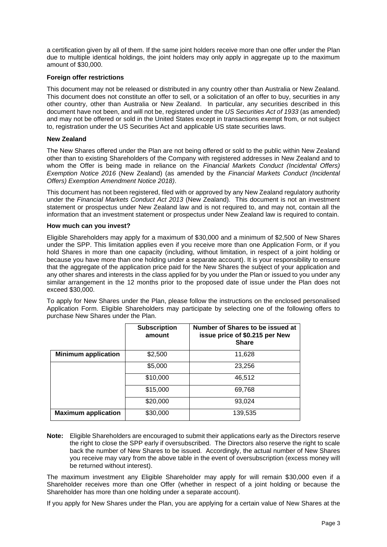a certification given by all of them. If the same joint holders receive more than one offer under the Plan due to multiple identical holdings, the joint holders may only apply in aggregate up to the maximum amount of \$30,000.

## **Foreign offer restrictions**

This document may not be released or distributed in any country other than Australia or New Zealand. This document does not constitute an offer to sell, or a solicitation of an offer to buy, securities in any other country, other than Australia or New Zealand. In particular, any securities described in this document have not been, and will not be, registered under the *US Securities Act of 1933* (as amended) and may not be offered or sold in the United States except in transactions exempt from, or not subject to, registration under the US Securities Act and applicable US state securities laws.

## **New Zealand**

The New Shares offered under the Plan are not being offered or sold to the public within New Zealand other than to existing Shareholders of the Company with registered addresses in New Zealand and to whom the Offer is being made in reliance on the *Financial Markets Conduct (Incidental Offers) Exemption Notice 2016* (New Zealand) (as amended by the *Financial Markets Conduct (Incidental Offers) Exemption Amendment Notice 2018)*.

This document has not been registered, filed with or approved by any New Zealand regulatory authority under the *Financial Markets Conduct Act 2013* (New Zealand). This document is not an investment statement or prospectus under New Zealand law and is not required to, and may not, contain all the information that an investment statement or prospectus under New Zealand law is required to contain.

#### **How much can you invest?**

Eligible Shareholders may apply for a maximum of \$30,000 and a minimum of \$2,500 of New Shares under the SPP. This limitation applies even if you receive more than one Application Form, or if you hold Shares in more than one capacity (including, without limitation, in respect of a joint holding or because you have more than one holding under a separate account). It is your responsibility to ensure that the aggregate of the application price paid for the New Shares the subject of your application and any other shares and interests in the class applied for by you under the Plan or issued to you under any similar arrangement in the 12 months prior to the proposed date of issue under the Plan does not exceed \$30,000.

To apply for New Shares under the Plan, please follow the instructions on the enclosed personalised Application Form. Eligible Shareholders may participate by selecting one of the following offers to purchase New Shares under the Plan.

|                            | <b>Subscription</b><br>amount | Number of Shares to be issued at<br>issue price of \$0.215 per New<br><b>Share</b> |
|----------------------------|-------------------------------|------------------------------------------------------------------------------------|
| <b>Minimum application</b> | \$2,500                       | 11,628                                                                             |
|                            | \$5,000                       | 23,256                                                                             |
|                            | \$10,000                      | 46,512                                                                             |
|                            | \$15,000                      | 69,768                                                                             |
|                            | \$20,000                      | 93,024                                                                             |
| <b>Maximum application</b> | \$30,000                      | 139,535                                                                            |

**Note:** Eligible Shareholders are encouraged to submit their applications early as the Directors reserve the right to close the SPP early if oversubscribed. The Directors also reserve the right to scale back the number of New Shares to be issued. Accordingly, the actual number of New Shares you receive may vary from the above table in the event of oversubscription (excess money will be returned without interest).

The maximum investment any Eligible Shareholder may apply for will remain \$30,000 even if a Shareholder receives more than one Offer (whether in respect of a joint holding or because the Shareholder has more than one holding under a separate account).

If you apply for New Shares under the Plan, you are applying for a certain value of New Shares at the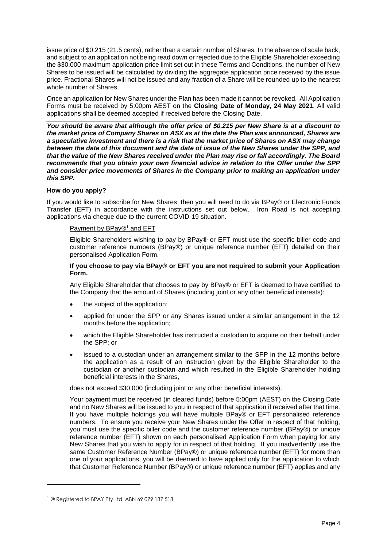issue price of \$0.215 (21.5 cents), rather than a certain number of Shares. In the absence of scale back, and subject to an application not being read down or rejected due to the Eligible Shareholder exceeding the \$30,000 maximum application price limit set out in these Terms and Conditions, the number of New Shares to be issued will be calculated by dividing the aggregate application price received by the issue price. Fractional Shares will not be issued and any fraction of a Share will be rounded up to the nearest whole number of Shares.

Once an application for New Shares under the Plan has been made it cannot be revoked. All Application Forms must be received by 5:00pm AEST on the **Closing Date of Monday, 24 May 2021**. All valid applications shall be deemed accepted if received before the Closing Date.

*You should be aware that although the offer price of \$0.215 per New Share is at a discount to the market price of Company Shares on ASX as at the date the Plan was announced, Shares are a speculative investment and there is a risk that the market price of Shares on ASX may change between the date of this document and the date of issue of the New Shares under the SPP, and that the value of the New Shares received under the Plan may rise or fall accordingly. The Board recommends that you obtain your own financial advice in relation to the Offer under the SPP and consider price movements of Shares in the Company prior to making an application under this SPP.*

#### **How do you apply?**

If you would like to subscribe for New Shares, then you will need to do via BPay® or Electronic Funds Transfer (EFT) in accordance with the instructions set out below. Iron Road is not accepting applications via cheque due to the current COVID-19 situation.

#### Payment by BPay®<sup>1</sup> and EFT

Eligible Shareholders wishing to pay by BPay® or EFT must use the specific biller code and customer reference numbers (BPay®) or unique reference number (EFT) detailed on their personalised Application Form.

#### **If you choose to pay via BPay® or EFT you are not required to submit your Application Form.**

Any Eligible Shareholder that chooses to pay by BPay® or EFT is deemed to have certified to the Company that the amount of Shares (including joint or any other beneficial interests):

- the subject of the application;
- applied for under the SPP or any Shares issued under a similar arrangement in the 12 months before the application;
- which the Eligible Shareholder has instructed a custodian to acquire on their behalf under the SPP; or
- issued to a custodian under an arrangement similar to the SPP in the 12 months before the application as a result of an instruction given by the Eligible Shareholder to the custodian or another custodian and which resulted in the Eligible Shareholder holding beneficial interests in the Shares,

does not exceed \$30,000 (including joint or any other beneficial interests).

Your payment must be received (in cleared funds) before 5:00pm (AEST) on the Closing Date and no New Shares will be issued to you in respect of that application if received after that time. If you have multiple holdings you will have multiple BPay® or EFT personalised reference numbers. To ensure you receive your New Shares under the Offer in respect of that holding, you must use the specific biller code and the customer reference number (BPay®) or unique reference number (EFT) shown on each personalised Application Form when paying for any New Shares that you wish to apply for in respect of that holding. If you inadvertently use the same Customer Reference Number (BPay®) or unique reference number (EFT) for more than one of your applications, you will be deemed to have applied only for the application to which that Customer Reference Number (BPay®) or unique reference number (EFT) applies and any

<sup>&</sup>lt;sup>1</sup> ® Registered to BPAY Pty Ltd, ABN 69 079 137 518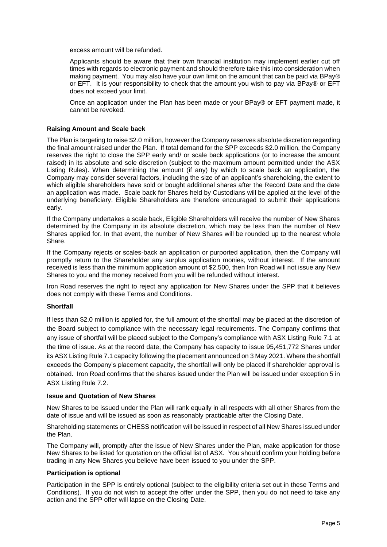excess amount will be refunded.

Applicants should be aware that their own financial institution may implement earlier cut off times with regards to electronic payment and should therefore take this into consideration when making payment. You may also have your own limit on the amount that can be paid via BPay® or EFT. It is your responsibility to check that the amount you wish to pay via BPay® or EFT does not exceed your limit.

Once an application under the Plan has been made or your BPay® or EFT payment made, it cannot be revoked.

#### **Raising Amount and Scale back**

The Plan is targeting to raise \$2.0 million, however the Company reserves absolute discretion regarding the final amount raised under the Plan. If total demand for the SPP exceeds \$2.0 million, the Company reserves the right to close the SPP early and/ or scale back applications (or to increase the amount raised) in its absolute and sole discretion (subject to the maximum amount permitted under the ASX Listing Rules). When determining the amount (if any) by which to scale back an application, the Company may consider several factors, including the size of an applicant's shareholding, the extent to which eligible shareholders have sold or bought additional shares after the Record Date and the date an application was made. Scale back for Shares held by Custodians will be applied at the level of the underlying beneficiary. Eligible Shareholders are therefore encouraged to submit their applications early.

If the Company undertakes a scale back, Eligible Shareholders will receive the number of New Shares determined by the Company in its absolute discretion, which may be less than the number of New Shares applied for. In that event, the number of New Shares will be rounded up to the nearest whole Share.

If the Company rejects or scales-back an application or purported application, then the Company will promptly return to the Shareholder any surplus application monies, without interest. If the amount received is less than the minimum application amount of \$2,500, then Iron Road will not issue any New Shares to you and the money received from you will be refunded without interest.

Iron Road reserves the right to reject any application for New Shares under the SPP that it believes does not comply with these Terms and Conditions.

#### **Shortfall**

If less than \$2.0 million is applied for, the full amount of the shortfall may be placed at the discretion of the Board subject to compliance with the necessary legal requirements. The Company confirms that any issue of shortfall will be placed subject to the Company's compliance with ASX Listing Rule 7.1 at the time of issue. As at the record date, the Company has capacity to issue 95,451,772 Shares under its ASX Listing Rule 7.1 capacity following the placement announced on 3 May 2021. Where the shortfall exceeds the Company's placement capacity, the shortfall will only be placed if shareholder approval is obtained. Iron Road confirms that the shares issued under the Plan will be issued under exception 5 in ASX Listing Rule 7.2.

#### **Issue and Quotation of New Shares**

New Shares to be issued under the Plan will rank equally in all respects with all other Shares from the date of issue and will be issued as soon as reasonably practicable after the Closing Date.

Shareholding statements or CHESS notification will be issued in respect of all New Shares issued under the Plan.

The Company will, promptly after the issue of New Shares under the Plan, make application for those New Shares to be listed for quotation on the official list of ASX. You should confirm your holding before trading in any New Shares you believe have been issued to you under the SPP.

#### **Participation is optional**

Participation in the SPP is entirely optional (subject to the eligibility criteria set out in these Terms and Conditions). If you do not wish to accept the offer under the SPP, then you do not need to take any action and the SPP offer will lapse on the Closing Date.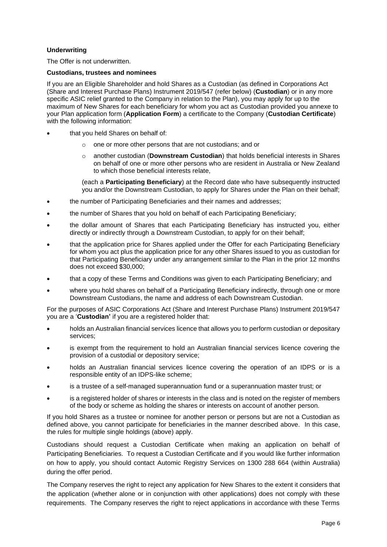# **Underwriting**

The Offer is not underwritten.

#### **Custodians, trustees and nominees**

If you are an Eligible Shareholder and hold Shares as a Custodian (as defined in Corporations Act (Share and Interest Purchase Plans) Instrument 2019/547 (refer below) (**Custodian**) or in any more specific ASIC relief granted to the Company in relation to the Plan), you may apply for up to the maximum of New Shares for each beneficiary for whom you act as Custodian provided you annexe to your Plan application form (**Application Form**) a certificate to the Company (**Custodian Certificate**) with the following information:

- that you held Shares on behalf of:
	- o one or more other persons that are not custodians; and or
	- o another custodian (**Downstream Custodian**) that holds beneficial interests in Shares on behalf of one or more other persons who are resident in Australia or New Zealand to which those beneficial interests relate,

(each a **Participating Beneficiary**) at the Record date who have subsequently instructed you and/or the Downstream Custodian, to apply for Shares under the Plan on their behalf;

- the number of Participating Beneficiaries and their names and addresses;
- the number of Shares that you hold on behalf of each Participating Beneficiary;
- the dollar amount of Shares that each Participating Beneficiary has instructed you, either directly or indirectly through a Downstream Custodian, to apply for on their behalf;
- that the application price for Shares applied under the Offer for each Participating Beneficiary for whom you act plus the application price for any other Shares issued to you as custodian for that Participating Beneficiary under any arrangement similar to the Plan in the prior 12 months does not exceed \$30,000;
- that a copy of these Terms and Conditions was given to each Participating Beneficiary; and
- where you hold shares on behalf of a Participating Beneficiary indirectly, through one or more Downstream Custodians, the name and address of each Downstream Custodian.

For the purposes of ASIC Corporations Act (Share and Interest Purchase Plans) Instrument 2019/547 you are a '**Custodian'** if you are a registered holder that:

- holds an Australian financial services licence that allows you to perform custodian or depositary services;
- is exempt from the requirement to hold an Australian financial services licence covering the provision of a custodial or depository service;
- holds an Australian financial services licence covering the operation of an IDPS or is a responsible entity of an IDPS-like scheme;
- is a trustee of a self-managed superannuation fund or a superannuation master trust; or
- is a registered holder of shares or interests in the class and is noted on the register of members of the body or scheme as holding the shares or interests on account of another person.

If you hold Shares as a trustee or nominee for another person or persons but are not a Custodian as defined above, you cannot participate for beneficiaries in the manner described above. In this case, the rules for multiple single holdings (above) apply.

Custodians should request a Custodian Certificate when making an application on behalf of Participating Beneficiaries. To request a Custodian Certificate and if you would like further information on how to apply, you should contact Automic Registry Services on 1300 288 664 (within Australia) during the offer period.

The Company reserves the right to reject any application for New Shares to the extent it considers that the application (whether alone or in conjunction with other applications) does not comply with these requirements. The Company reserves the right to reject applications in accordance with these Terms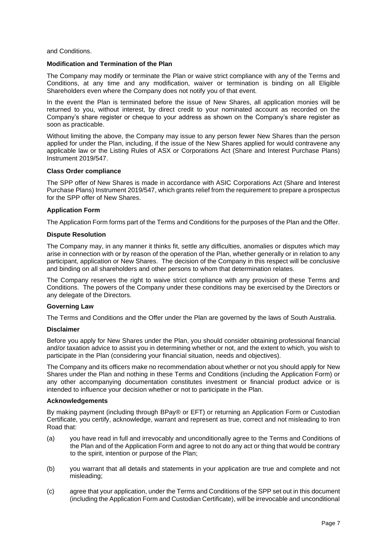and Conditions.

#### **Modification and Termination of the Plan**

The Company may modify or terminate the Plan or waive strict compliance with any of the Terms and Conditions, at any time and any modification, waiver or termination is binding on all Eligible Shareholders even where the Company does not notify you of that event.

In the event the Plan is terminated before the issue of New Shares, all application monies will be returned to you, without interest, by direct credit to your nominated account as recorded on the Company's share register or cheque to your address as shown on the Company's share register as soon as practicable.

Without limiting the above, the Company may issue to any person fewer New Shares than the person applied for under the Plan, including, if the issue of the New Shares applied for would contravene any applicable law or the Listing Rules of ASX or Corporations Act (Share and Interest Purchase Plans) Instrument 2019/547.

#### **Class Order compliance**

The SPP offer of New Shares is made in accordance with ASIC Corporations Act (Share and Interest Purchase Plans) Instrument 2019/547, which grants relief from the requirement to prepare a prospectus for the SPP offer of New Shares.

#### **Application Form**

The Application Form forms part of the Terms and Conditions for the purposes of the Plan and the Offer.

#### **Dispute Resolution**

The Company may, in any manner it thinks fit, settle any difficulties, anomalies or disputes which may arise in connection with or by reason of the operation of the Plan, whether generally or in relation to any participant, application or New Shares. The decision of the Company in this respect will be conclusive and binding on all shareholders and other persons to whom that determination relates.

The Company reserves the right to waive strict compliance with any provision of these Terms and Conditions. The powers of the Company under these conditions may be exercised by the Directors or any delegate of the Directors.

#### **Governing Law**

The Terms and Conditions and the Offer under the Plan are governed by the laws of South Australia.

#### **Disclaimer**

Before you apply for New Shares under the Plan, you should consider obtaining professional financial and/or taxation advice to assist you in determining whether or not, and the extent to which, you wish to participate in the Plan (considering your financial situation, needs and objectives).

The Company and its officers make no recommendation about whether or not you should apply for New Shares under the Plan and nothing in these Terms and Conditions (including the Application Form) or any other accompanying documentation constitutes investment or financial product advice or is intended to influence your decision whether or not to participate in the Plan.

#### **Acknowledgements**

By making payment (including through BPay® or EFT) or returning an Application Form or Custodian Certificate, you certify, acknowledge, warrant and represent as true, correct and not misleading to Iron Road that:

- (a) you have read in full and irrevocably and unconditionally agree to the Terms and Conditions of the Plan and of the Application Form and agree to not do any act or thing that would be contrary to the spirit, intention or purpose of the Plan;
- (b) you warrant that all details and statements in your application are true and complete and not misleading;
- (c) agree that your application, under the Terms and Conditions of the SPP set out in this document (including the Application Form and Custodian Certificate), will be irrevocable and unconditional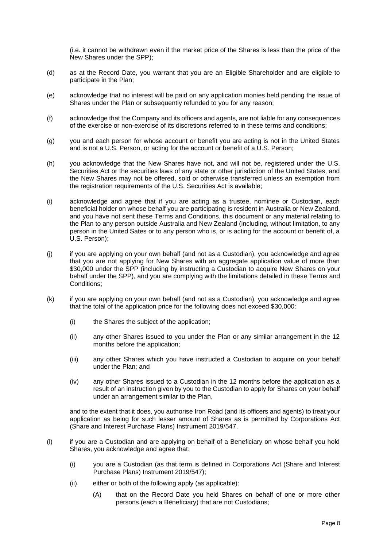(i.e. it cannot be withdrawn even if the market price of the Shares is less than the price of the New Shares under the SPP);

- (d) as at the Record Date, you warrant that you are an Eligible Shareholder and are eligible to participate in the Plan;
- (e) acknowledge that no interest will be paid on any application monies held pending the issue of Shares under the Plan or subsequently refunded to you for any reason;
- (f) acknowledge that the Company and its officers and agents, are not liable for any consequences of the exercise or non-exercise of its discretions referred to in these terms and conditions;
- (g) you and each person for whose account or benefit you are acting is not in the United States and is not a U.S. Person, or acting for the account or benefit of a U.S. Person;
- (h) you acknowledge that the New Shares have not, and will not be, registered under the U.S. Securities Act or the securities laws of any state or other jurisdiction of the United States, and the New Shares may not be offered, sold or otherwise transferred unless an exemption from the registration requirements of the U.S. Securities Act is available;
- (i) acknowledge and agree that if you are acting as a trustee, nominee or Custodian, each beneficial holder on whose behalf you are participating is resident in Australia or New Zealand, and you have not sent these Terms and Conditions, this document or any material relating to the Plan to any person outside Australia and New Zealand (including, without limitation, to any person in the United Sates or to any person who is, or is acting for the account or benefit of, a U.S. Person);
- (j) if you are applying on your own behalf (and not as a Custodian), you acknowledge and agree that you are not applying for New Shares with an aggregate application value of more than \$30,000 under the SPP (including by instructing a Custodian to acquire New Shares on your behalf under the SPP), and you are complying with the limitations detailed in these Terms and Conditions;
- (k) if you are applying on your own behalf (and not as a Custodian), you acknowledge and agree that the total of the application price for the following does not exceed \$30,000:
	- (i) the Shares the subject of the application;
	- (ii) any other Shares issued to you under the Plan or any similar arrangement in the 12 months before the application;
	- (iii) any other Shares which you have instructed a Custodian to acquire on your behalf under the Plan; and
	- (iv) any other Shares issued to a Custodian in the 12 months before the application as a result of an instruction given by you to the Custodian to apply for Shares on your behalf under an arrangement similar to the Plan,

and to the extent that it does, you authorise Iron Road (and its officers and agents) to treat your application as being for such lesser amount of Shares as is permitted by Corporations Act (Share and Interest Purchase Plans) Instrument 2019/547.

- (l) if you are a Custodian and are applying on behalf of a Beneficiary on whose behalf you hold Shares, you acknowledge and agree that:
	- (i) you are a Custodian (as that term is defined in Corporations Act (Share and Interest Purchase Plans) Instrument 2019/547);
	- (ii) either or both of the following apply (as applicable):
		- (A) that on the Record Date you held Shares on behalf of one or more other persons (each a Beneficiary) that are not Custodians;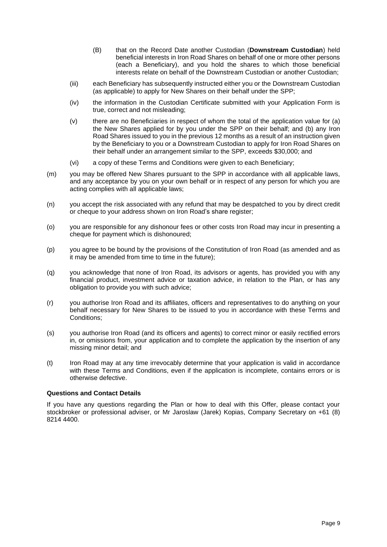- (B) that on the Record Date another Custodian (**Downstream Custodian**) held beneficial interests in Iron Road Shares on behalf of one or more other persons (each a Beneficiary), and you hold the shares to which those beneficial interests relate on behalf of the Downstream Custodian or another Custodian;
- (iii) each Beneficiary has subsequently instructed either you or the Downstream Custodian (as applicable) to apply for New Shares on their behalf under the SPP;
- (iv) the information in the Custodian Certificate submitted with your Application Form is true, correct and not misleading;
- (v) there are no Beneficiaries in respect of whom the total of the application value for (a) the New Shares applied for by you under the SPP on their behalf; and (b) any Iron Road Shares issued to you in the previous 12 months as a result of an instruction given by the Beneficiary to you or a Downstream Custodian to apply for Iron Road Shares on their behalf under an arrangement similar to the SPP, exceeds \$30,000; and
- (vi) a copy of these Terms and Conditions were given to each Beneficiary;
- (m) you may be offered New Shares pursuant to the SPP in accordance with all applicable laws, and any acceptance by you on your own behalf or in respect of any person for which you are acting complies with all applicable laws;
- (n) you accept the risk associated with any refund that may be despatched to you by direct credit or cheque to your address shown on Iron Road's share register;
- (o) you are responsible for any dishonour fees or other costs Iron Road may incur in presenting a cheque for payment which is dishonoured;
- (p) you agree to be bound by the provisions of the Constitution of Iron Road (as amended and as it may be amended from time to time in the future);
- (q) you acknowledge that none of Iron Road, its advisors or agents, has provided you with any financial product, investment advice or taxation advice, in relation to the Plan, or has any obligation to provide you with such advice;
- (r) you authorise Iron Road and its affiliates, officers and representatives to do anything on your behalf necessary for New Shares to be issued to you in accordance with these Terms and Conditions;
- (s) you authorise Iron Road (and its officers and agents) to correct minor or easily rectified errors in, or omissions from, your application and to complete the application by the insertion of any missing minor detail; and
- (t) Iron Road may at any time irrevocably determine that your application is valid in accordance with these Terms and Conditions, even if the application is incomplete, contains errors or is otherwise defective.

#### **Questions and Contact Details**

If you have any questions regarding the Plan or how to deal with this Offer, please contact your stockbroker or professional adviser, or Mr Jaroslaw (Jarek) Kopias, Company Secretary on +61 (8) 8214 4400.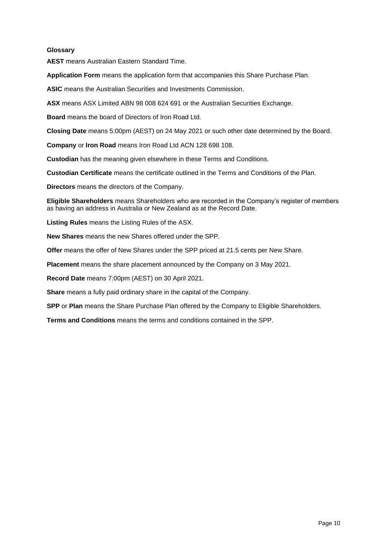## **Glossary**

**AEST** means Australian Eastern Standard Time.

**Application Form** means the application form that accompanies this Share Purchase Plan.

**ASIC** means the Australian Securities and Investments Commission.

**ASX** means ASX Limited ABN 98 008 624 691 or the Australian Securities Exchange.

**Board** means the board of Directors of Iron Road Ltd.

**Closing Date** means 5:00pm (AEST) on 24 May 2021 or such other date determined by the Board.

**Company** or **Iron Road** means Iron Road Ltd ACN 128 698 108.

**Custodian** has the meaning given elsewhere in these Terms and Conditions.

**Custodian Certificate** means the certificate outlined in the Terms and Conditions of the Plan.

**Directors** means the directors of the Company.

**Eligible Shareholders** means Shareholders who are recorded in the Company's register of members as having an address in Australia or New Zealand as at the Record Date.

**Listing Rules** means the Listing Rules of the ASX.

**New Shares** means the new Shares offered under the SPP.

**Offer** means the offer of New Shares under the SPP priced at 21.5 cents per New Share.

**Placement** means the share placement announced by the Company on 3 May 2021.

**Record Date** means 7:00pm (AEST) on 30 April 2021.

**Share** means a fully paid ordinary share in the capital of the Company.

**SPP** or **Plan** means the Share Purchase Plan offered by the Company to Eligible Shareholders.

**Terms and Conditions** means the terms and conditions contained in the SPP.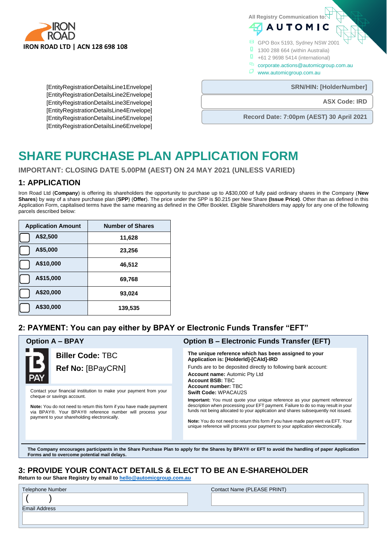

**All Registry Communication to:**

GPO Box 5193, Sydney NSW 2001

**AUTOMIC** 

**1** 1300 288 664 (within Australia)

**0** +61 2 9698 5414 (international)

- corporate.actions@automicgroup.com.au
- www.automicgroup.com.au

**SRN/HIN: [HolderNumber]** 

**ASX Code: IRD**

[EntityRegistrationDetailsLine1Envelope] [EntityRegistrationDetailsLine2Envelope] [EntityRegistrationDetailsLine3Envelope] [EntityRegistrationDetailsLine4Envelope] [EntityRegistrationDetailsLine5Envelope] [EntityRegistrationDetailsLine6Envelope]

**Record Date: 7:00pm (AEST) 30 April 2021**

# **SHARE PURCHASE PLAN APPLICATION FORM**

**IMPORTANT: CLOSING DATE 5.00PM (AEST) ON 24 MAY 2021 (UNLESS VARIED)**

# **1: APPLICATION**

Iron Road Ltd (**Company**) is offering its shareholders the opportunity to purchase up to A\$30,000 of fully paid ordinary shares in the Company (**New Shares**) by way of a share purchase plan (**SPP**) (**Offer**). The price under the SPP is \$0.215 per New Share **(Issue Price)**. Other than as defined in this Application Form, capitalised terms have the same meaning as defined in the Offer Booklet. Eligible Shareholders may apply for any one of the following parcels described below:

| <b>Application Amount</b> | <b>Number of Shares</b> |
|---------------------------|-------------------------|
| A\$2,500                  | 11,628                  |
| A\$5,000                  | 23,256                  |
| A\$10,000                 | 46,512                  |
| A\$15,000                 | 69,768                  |
| A\$20,000                 | 93,024                  |
| A\$30,000                 | 139,535                 |

**Forms and to overcome potential mail delays.**

# **2: PAYMENT: You can pay either by BPAY or Electronic Funds Transfer "EFT"**

| <b>Biller Code: TBC</b><br>Ref No: [BPayCRN]                                                                                                                                                                                                                                             | The unique reference which has been assigned to your<br>Application is: [HolderId]-[CAId]-IRD<br>Funds are to be deposited directly to following bank account:<br><b>Account name:</b> Automic Pty Ltd<br><b>Account BSB: TBC</b><br>Account number: TBC<br>Swift Code: WPACAU2S<br><b>Important:</b> You must quote your unique reference as your payment reference/<br>description when processing your EFT payment. Failure to do so may result in your<br>funds not being allocated to your application and shares subsequently not issued.<br><b>Note:</b> You do not need to return this form if you have made payment via EFT. Your<br>unique reference will process your payment to your application electronically. |
|------------------------------------------------------------------------------------------------------------------------------------------------------------------------------------------------------------------------------------------------------------------------------------------|------------------------------------------------------------------------------------------------------------------------------------------------------------------------------------------------------------------------------------------------------------------------------------------------------------------------------------------------------------------------------------------------------------------------------------------------------------------------------------------------------------------------------------------------------------------------------------------------------------------------------------------------------------------------------------------------------------------------------|
| Contact your financial institution to make your payment from your<br>cheque or savings account.<br><b>Note:</b> You do not need to return this form if you have made payment<br>via BPAY®. Your BPAY® reference number will process your<br>payment to your shareholding electronically. |                                                                                                                                                                                                                                                                                                                                                                                                                                                                                                                                                                                                                                                                                                                              |

**3: PROVIDE YOUR CONTACT DETAILS & ELECT TO BE AN E-SHAREHOLDER Return to our Share Registry by email to [hello@automicgroup.com.au](mailto:hello@automicgroup.com.au)**

Telephone Number Contact Name (PLEASE PRINT)  $($  ) Email Address